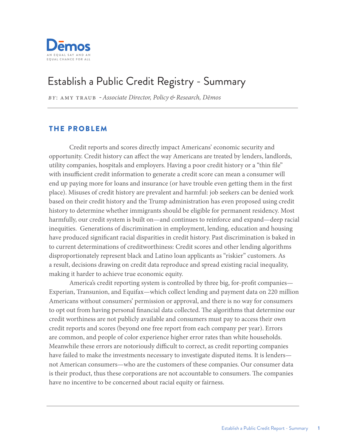

# Establish a Public Credit Registry - Summary

*By*: amy Traub -*Associate Director, Policy & Research, Dēmos*

### THE PROBLEM

Credit reports and scores directly impact Americans' economic security and opportunity. Credit history can affect the way Americans are treated by lenders, landlords, utility companies, hospitals and employers. Having a poor credit history or a "thin file" with insufficient credit information to generate a credit score can mean a consumer will end up paying more for loans and insurance (or have trouble even getting them in the first place). Misuses of credit history are prevalent and harmful: job seekers can be denied work based on their credit history and the Trump administration has even proposed using credit history to determine whether immigrants should be eligible for permanent residency. Most harmfully, our credit system is built on—and continues to reinforce and expand—deep racial inequities. Generations of discrimination in employment, lending, education and housing have produced significant racial disparities in credit history. Past discrimination is baked in to current determinations of creditworthiness: Credit scores and other lending algorithms disproportionately represent black and Latino loan applicants as "riskier" customers. As a result, decisions drawing on credit data reproduce and spread existing racial inequality, making it harder to achieve true economic equity.

America's credit reporting system is controlled by three big, for-profit companies— Experian, Transunion, and Equifax—which collect lending and payment data on 220 million Americans without consumers' permission or approval, and there is no way for consumers to opt out from having personal financial data collected. The algorithms that determine our credit worthiness are not publicly available and consumers must pay to access their own credit reports and scores (beyond one free report from each company per year). Errors are common, and people of color experience higher error rates than white households. Meanwhile these errors are notoriously difficult to correct, as credit reporting companies have failed to make the investments necessary to investigate disputed items. It is lenders not American consumers—who are the customers of these companies. Our consumer data is their product, thus these corporations are not accountable to consumers. The companies have no incentive to be concerned about racial equity or fairness.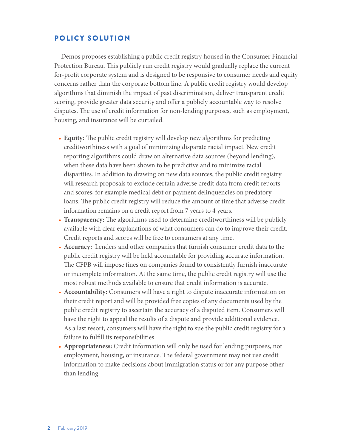## POLICY SOLUTION

Demos proposes establishing a public credit registry housed in the Consumer Financial Protection Bureau. This publicly run credit registry would gradually replace the current for-profit corporate system and is designed to be responsive to consumer needs and equity concerns rather than the corporate bottom line. A public credit registry would develop algorithms that diminish the impact of past discrimination, deliver transparent credit scoring, provide greater data security and offer a publicly accountable way to resolve disputes. The use of credit information for non-lending purposes, such as employment, housing, and insurance will be curtailed.

- **Equity:** The public credit registry will develop new algorithms for predicting creditworthiness with a goal of minimizing disparate racial impact. New credit reporting algorithms could draw on alternative data sources (beyond lending), when these data have been shown to be predictive and to minimize racial disparities. In addition to drawing on new data sources, the public credit registry will research proposals to exclude certain adverse credit data from credit reports and scores, for example medical debt or payment delinquencies on predatory loans. The public credit registry will reduce the amount of time that adverse credit information remains on a credit report from 7 years to 4 years.
- **Transparency:** The algorithms used to determine creditworthiness will be publicly available with clear explanations of what consumers can do to improve their credit. Credit reports and scores will be free to consumers at any time.
- **Accuracy:** Lenders and other companies that furnish consumer credit data to the public credit registry will be held accountable for providing accurate information. The CFPB will impose fines on companies found to consistently furnish inaccurate or incomplete information. At the same time, the public credit registry will use the most robust methods available to ensure that credit information is accurate.
- **Accountability:** Consumers will have a right to dispute inaccurate information on their credit report and will be provided free copies of any documents used by the public credit registry to ascertain the accuracy of a disputed item. Consumers will have the right to appeal the results of a dispute and provide additional evidence. As a last resort, consumers will have the right to sue the public credit registry for a failure to fulfill its responsibilities.
- **Appropriateness:** Credit information will only be used for lending purposes, not employment, housing, or insurance. The federal government may not use credit information to make decisions about immigration status or for any purpose other than lending.